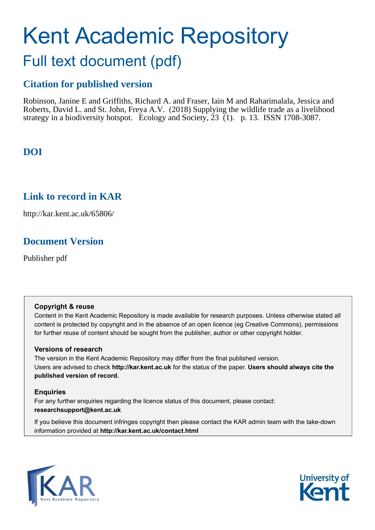# Kent Academic Repository Full text document (pdf)

# **Citation for published version**

Robinson, Janine E and Griffiths, Richard A. and Fraser, Iain M and Raharimalala, Jessica and Roberts, David L. and St. John, Freya A.V. (2018) Supplying the wildlife trade as a livelihood strategy in a biodiversity hotspot. Ecology and Society, 23 (1). p. 13. ISSN 1708-3087.

# **DOI**

# **Link to record in KAR**

http://kar.kent.ac.uk/65806/

# **Document Version**

Publisher pdf

## **Copyright & reuse**

Content in the Kent Academic Repository is made available for research purposes. Unless otherwise stated all content is protected by copyright and in the absence of an open licence (eg Creative Commons), permissions for further reuse of content should be sought from the publisher, author or other copyright holder.

## **Versions of research**

The version in the Kent Academic Repository may differ from the final published version. Users are advised to check **http://kar.kent.ac.uk** for the status of the paper. **Users should always cite the published version of record.**

## **Enquiries**

For any further enquiries regarding the licence status of this document, please contact: **researchsupport@kent.ac.uk**

If you believe this document infringes copyright then please contact the KAR admin team with the take-down information provided at **http://kar.kent.ac.uk/contact.html**



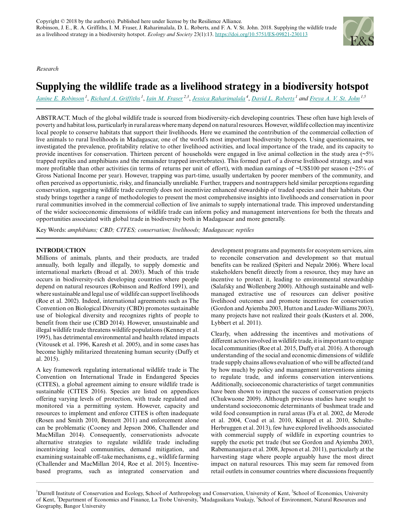*Research*

# **Supplying the wildlife trade as a livelihood strategy in a biodiversity hotspot**

[Janine E. Robinson](mailto:janine.robinson82@gmail.com)<sup>1</sup>, [Richard A. Griffiths](mailto:R.A.Griffiths@kent.ac.uk)<sup>1</sup>, [Iain M. Fraser](mailto:I.M.Fraser@kent.ac.uk)<sup>2,3</sup>, [Jessica Raharimalala](mailto:jessicar@mvoakajy.mg)<sup>4</sup>, [David L. Roberts](mailto:D.L.Roberts@kent.ac.uk)<sup>1</sup> and [Freya A. V. St. John](mailto:f.stjohn@bangor.ac.uk)<sup>1,5</sup>

ABSTRACT. Much of the global wildlife trade is sourced from biodiversity-rich developing countries. These often have high levels of poverty and habitat loss, particularly in rural areas where many depend on natural resources. However, wildlife collection may incentivize local people to conserve habitats that support their livelihoods. Here we examined the contribution of the commercial collection of live animals to rural livelihoods in Madagascar, one of the world's most important biodiversity hotspots. Using questionnaires, we investigated the prevalence, profitability relative to other livelihood activities, and local importance of the trade, and its capacity to provide incentives for conservation. Thirteen percent of households were engaged in live animal collection in the study area (~5% trapped reptiles and amphibians and the remainder trapped invertebrates). This formed part of a diverse livelihood strategy, and was more profitable than other activities (in terms of returns per unit of effort), with median earnings of ~US\$100 per season (~25% of Gross National Income per year). However, trapping was part-time, usually undertaken by poorer members of the community, and often perceived as opportunistic, risky, and financially unreliable. Further, trappers and nontrappers held similar perceptions regarding conservation, suggesting wildlife trade currently does not incentivize enhanced stewardship of traded species and their habitats. Our study brings together a range of methodologies to present the most comprehensive insights into livelihoods and conservation in poor rural communities involved in the commercial collection of live animals to supply international trade. This improved understanding of the wider socioeconomic dimensions of wildlife trade can inform policy and management interventions for both the threats and opportunities associated with global trade in biodiversity both in Madagascar and more generally.

Key Words: *amphibians; CBD; CITES; conservation; livelihoods; Madagascar; reptiles*

#### **INTRODUCTION**

Millions of animals, plants, and their products, are traded annually, both legally and illegally, to supply domestic and international markets (Broad et al. 2003). Much of this trade occurs in biodiversity-rich developing countries where people depend on natural resources (Robinson and Redford 1991), and where sustainable and legal use of wildlife can support livelihoods (Roe et al. 2002). Indeed, international agreements such as The Convention on Biological Diversity (CBD) promotes sustainable use of biological diversity and recognizes rights of people to benefit from their use (CBD 2014). However, unsustainable and illegal wildlife trade threatens wildlife populations (Kenney et al. 1995), has detrimental environmental and health related impacts (Vitousek et al. 1996, Karesh et al. 2005), and in some cases has become highly militarized threatening human security (Duffy et al. 2015).

A key framework regulating international wildlife trade is The Convention on International Trade in Endangered Species (CITES), a global agreement aiming to ensure wildlife trade is sustainable (CITES 2016). Species are listed on appendices offering varying levels of protection, with trade regulated and monitored via a permitting system. However, capacity and resources to implement and enforce CITES is often inadequate (Rosen and Smith 2010, Bennett 2011) and enforcement alone can be problematic (Cooney and Jepson 2006, Challender and MacMillan 2014). Consequently, conservationists advocate alternative strategies to regulate wildlife trade including incentivizing local communities, demand mitigation, and examining sustainable off-take mechanisms, e.g., wildlife farming (Challender and MacMillan 2014, Roe et al. 2015). Incentivebased programs, such as integrated conservation and

development programs and payments for ecosystem services, aim to reconcile conservation and development so that mutual benefits can be realized (Spiteri and Nepalz 2006). Where local stakeholders benefit directly from a resource, they may have an incentive to protect it, leading to environmental stewardship (Salafsky and Wollenberg 2000). Although sustainable and wellmanaged extractive use of resources can deliver positive livelihood outcomes and promote incentives for conservation (Gordon and Ayiemba 2003, Hutton and Leader-Williams 2003), many projects have not realized their goals (Kusters et al. 2006, Lybbert et al. 2011).

Clearly, when addressing the incentives and motivations of different actors involved in wildlife trade, it is important to engage local communities (Roe et al. 2015, Duffy et al. 2016). A thorough understanding of the social and economic dimensions of wildlife trade supply chains allows evaluation of who will be affected (and by how much) by policy and management interventions aiming to regulate trade, and informs conservation interventions. Additionally, socioeconomic characteristics of target communities have been shown to impact the success of conservation projects (Chukwuone 2009). Although previous studies have sought to understand socioeconomic determinants of bushmeat trade and wild food consumption in rural areas (Fa et al. 2002, de Merode et al. 2004, Coad et al. 2010, Kümpel et al. 2010, Schulte-Herbruggen et al. 2013), few have explored livelihoods associated with commercial supply of wildlife in exporting countries to supply the exotic pet trade (but see Gordon and Ayiemba 2003, Rabemananjara et al. 2008, Jepson et al. 2011), particularly at the harvesting stage where people arguably have the most direct impact on natural resources. This may seem far removed from retail outlets in consumer countries where discussions frequently

<sup>&</sup>lt;sup>1</sup>Durrell Institute of Conservation and Ecology, School of Anthropology and Conservation, University of Kent, <sup>2</sup>School of Economics, University of Kent, <sup>3</sup>Department of Economics and Finance, La Trobe University, <sup>4</sup>Madagasikara Voakajy, <sup>5</sup>School of Environment, Natural Resources and Geography, Bangor University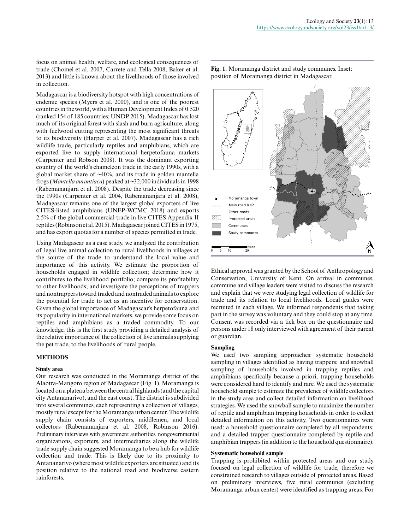focus on animal health, welfare, and ecological consequences of trade (Chomel et al. 2007, Carrete and Tella 2008, Baker et al. 2013) and little is known about the livelihoods of those involved in collection.

Madagascar is a biodiversity hotspot with high concentrations of endemic species (Myers et al. 2000), and is one of the poorest countries in the world, with a Human Development Index of 0.520 (ranked 154 of 185 countries; UNDP 2015). Madagascar has lost much of its original forest with slash and burn agriculture, along with fuelwood cutting representing the most significant threats to its biodiversity (Harper et al. 2007). Madagascar has a rich wildlife trade, particularly reptiles and amphibians, which are exported live to supply international herpetofauna markets (Carpenter and Robson 2008). It was the dominant exporting country of the world's chameleon trade in the early 1990s, with a global market share of ~40%, and its trade in golden mantella frogs (*Mantella aurantiaca*) peaked at ~32,000 individuals in 1998 (Rabemananjara et al. 2008). Despite the trade decreasing since the 1990s (Carpenter et al. 2004, Rabemananjara et al. 2008), Madagascar remains one of the largest global exporters of live CITES-listed amphibians (UNEP-WCMC 2018) and exports 2.5% of the global commercial trade in live CITES Appendix II reptiles (Robinson et al. 2015). Madagascar joined CITES in 1975, and has export quotas for a number of species permitted in trade.

Using Madagascar as a case study, we analyzed the contribution of legal live animal collection to rural livelihoods in villages at the source of the trade to understand the local value and importance of this activity. We estimate the proportion of households engaged in wildlife collection; determine how it contributes to the livelihood portfolio; compare its profitability to other livelihoods; and investigate the perceptions of trappers and nontrappers toward traded and nontraded animals to explore the potential for trade to act as an incentive for conservation. Given the global importance of Madagascar's herpetofauna and its popularity in international markets, we provide some focus on reptiles and amphibians as a traded commodity. To our knowledge, this is the first study providing a detailed analysis of the relative importance of the collection of live animals supplying the pet trade, to the livelihoods of rural people.

#### **METHODS**

#### **Study area**

Our research was conducted in the Moramanga district of the Alaotra-Mangoro region of Madagascar (Fig. 1). Moramanga is located on a plateau between the central highlands (and the capital city Antananarivo), and the east coast. The district is subdivided into several communes, each representing a collection of villages, mostly rural except for the Moramanga urban center. The wildlife supply chain consists of exporters, middlemen, and local collectors (Rabemananjara et al. 2008, Robinson 2016). Preliminary interviews with government authorities, nongovernmental organizations, exporters, and intermediaries along the wildlife trade supply chain suggested Moramanga to be a hub for wildlife collection and trade. This is likely due to its proximity to Antananarivo (where most wildlife exporters are situated) and its position relative to the national road and biodiverse eastern rainforests.

**Fig. 1**. Moramanga district and study communes. Inset: position of Moramanga district in Madagascar.



#### **Sampling**

Moramanga town Main road RN2 Other roads

Protected areas Communes Study communes

 $\overline{20}$ 

 $10$ 

 $\nabla / \sqrt{2}$ 

We used two sampling approaches: systematic household sampling in villages identified as having trappers; and snowball sampling of households involved in trapping reptiles and amphibians specifically because a priori, trapping households were considered hard to identify and rare. We used the systematic household sample to estimate the prevalence of wildlife collectors in the study area and collect detailed information on livelihood strategies. We used the snowball sample to maximize the number of reptile and amphibian trapping households in order to collect detailed information on this activity. Two questionnaires were used: a household questionnaire completed by all respondents; and a detailed trapper questionnaire completed by reptile and amphibian trappers (in addition to the household questionnaire).

#### **Systematic household sample**

Trapping is prohibited within protected areas and our study focused on legal collection of wildlife for trade, therefore we constrained research to villages outside of protected areas. Based on preliminary interviews, five rural communes (excluding Moramanga urban center) were identified as trapping areas. For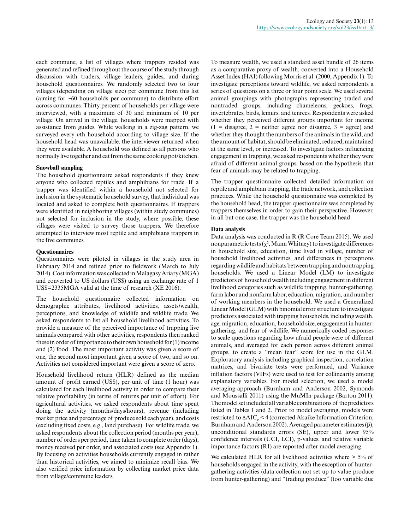each commune, a list of villages where trappers resided was generated and refined throughout the course of the study through discussion with traders, village leaders, guides, and during household questionnaires. We randomly selected two to four villages (depending on village size) per commune from this list (aiming for ~60 households per commune) to distribute effort across communes. Thirty percent of households per village were interviewed, with a maximum of 30 and minimum of 10 per village. On arrival in the village, households were mapped with assistance from guides. While walking in a zig-zag pattern, we surveyed every *n*th household according to village size. If the household head was unavailable, the interviewer returned when they were available. A household was defined as all persons who normally live together and eat from the same cooking pot/kitchen.

#### **Snowball sampling**

The household questionnaire asked respondents if they knew anyone who collected reptiles and amphibians for trade. If a trapper was identified within a household not selected for inclusion in the systematic household survey, that individual was located and asked to complete both questionnaires. If trappers were identified in neighboring villages (within study communes) not selected for inclusion in the study, where possible, these villages were visited to survey those trappers. We therefore attempted to interview most reptile and amphibians trappers in the five communes.

#### **Questionnaires**

Questionnaires were piloted in villages in the study area in February 2014 and refined prior to fieldwork (March to July 2014). Cost information was collected in Malagasy Ariary (MGA) and converted to US dollars (US\$) using an exchange rate of 1 US\$=2335MGA valid at the time of research (XE 2016).

The household questionnaire collected information on demographic attributes, livelihood activities, assets/wealth, perceptions, and knowledge of wildlife and wildlife trade. We asked respondents to list all household livelihood activities. To provide a measure of the perceived importance of trapping live animals compared with other activities, respondents then ranked these in order of importance to their own household for (1) income and (2) food. The most important activity was given a score of one, the second most important given a score of two, and so on. Activities not considered important were given a score of zero.

Household livelihood return (HLR) defined as the median amount of profit earned (US\$), per unit of time (1 hour) was calculated for each livelihood activity in order to compare their relative profitability (in terms of returns per unit of effort). For agricultural activities, we asked respondents about time spent doing the activity (months/days/hours), revenue (including market price and percentage of produce sold each year), and costs (excluding fixed costs, e.g., land purchase). For wildlife trade, we asked respondents about the collection period (months per year), number of orders per period, time taken to complete order (days), money received per order, and associated costs (see Appendix 1). By focusing on activities households currently engaged in rather than historical activities, we aimed to minimize recall bias. We also verified price information by collecting market price data from village/commune leaders.

To measure wealth, we used a standard asset bundle of 26 items as a comparative proxy of wealth, converted into a Household Asset Index (HAI) following Morris et al. (2000; Appendix 1). To investigate perceptions toward wildlife, we asked respondents a series of questions on a three or four point scale. We used several animal groupings with photographs representing traded and nontraded groups, including chameleons, geckoes, frogs, invertebrates, birds, lemurs, and tenrecs. Respondents were asked whether they perceived different groups important for income  $(1 = \text{disagree}, 2 = \text{neither agree nor disagree}, 3 = \text{agree})$  and whether they thought the numbers of the animals in the wild, and the amount of habitat, should be eliminated, reduced, maintained at the same level, or increased. To investigate factors influencing engagement in trapping, we asked respondents whether they were afraid of different animal groups, based on the hypothesis that fear of animals may be related to trapping.

The trapper questionnaire collected detailed information on reptile and amphibian trapping, the trade network, and collection practices. While the household questionnaire was completed by the household head, the trapper questionnaire was completed by trappers themselves in order to gain their perspective. However, in all but one case, the trapper was the household head.

#### **Data analysis**

Data analysis was conducted in R (R Core Team 2015). We used nonparametric tests  $(\chi^2)$ , Mann Whitney) to investigate differences in household size, education, time lived in village, number of household livelihood activities, and differences in perceptions regarding wildlife and habitats between trapping and nontrapping households. We used a Linear Model (LM) to investigate predictors of household wealth including engagement in different livelihood categories such as wildlife trapping, hunter-gathering, farm labor and nonfarm labor, education, migration, and number of working members in the household. We used a Generalized Linear Model (GLM) with binomial error structure to investigate predictors associated with trapping households, including wealth, age, migration, education, household size, engagement in huntergathering, and fear of wildlife. We numerically coded responses to scale questions regarding how afraid people were of different animals, and averaged for each person across different animal groups, to create a "mean fear" score for use in the GLM. Exploratory analysis including graphical inspection, correlation matrices, and bivariate tests were performed, and Variance inflation factors (VIFs) were used to test for collinearity among explanatory variables. For model selection, we used a model averaging-approach (Burnham and Anderson 2002, Symonds and Moussalli 2011) using the MuMIn package (Barton 2011). The model set included all variable combinations of the predictors listed in Tables 1 and 2. Prior to model averaging, models were restricted to  $\Delta AIC_c < 4$  (corrected Akaike Information Criterion; Burnham and Anderson 2002). Averaged parameter estimates  $(\beta)$ , unconditional standards errors (SE), upper and lower 95% confidence intervals (UCI, LCI), p-values, and relative variable importance factors (RI) are reported after model averaging.

We calculated HLR for all livelihood activities where  $> 5\%$  of households engaged in the activity, with the exception of huntergathering activities (data collection not set up to value produce from hunter-gathering) and "trading produce" (too variable due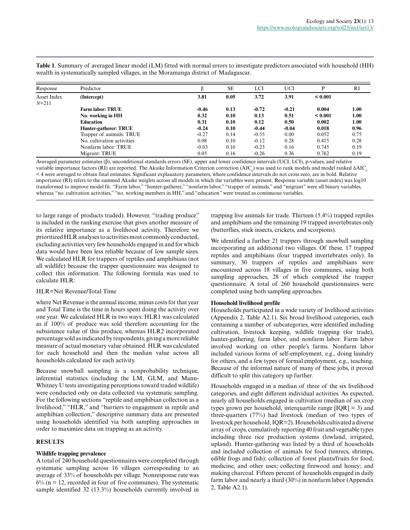| Response                 | Predictor                  |         | <b>SE</b> | LCI     | <b>UCI</b> |         | <b>RI</b> |
|--------------------------|----------------------------|---------|-----------|---------|------------|---------|-----------|
| Asset Index<br>$N = 211$ | (Intercept)                | 3.81    | 0.05      | 3.72    | 3.91       | < 0.001 |           |
|                          | <b>Farm labor: TRUE</b>    | $-0.46$ | 0.13      | $-0.72$ | $-0.21$    | 0.004   | 1.00      |
|                          | No. working in HH          | 0.32    | 0.10      | 0.13    | 0.51       | < 0.001 | 1.00      |
|                          | Education                  | 0.31    | 0.10      | 0.12    | 0.50       | 0.002   | 1.00      |
|                          | Hunter-gatherer: TRUE      | $-0.24$ | 0.10      | $-0.44$ | $-0.04$    | 0.018   | 0.96      |
|                          | Trapper of animals: TRUE   | $-0.27$ | 0.14      | $-0.55$ | 0.00       | 0.052   | 0.75      |
|                          | No. cultivation activities | 0.08    | 0.10      | $-0.12$ | 0.28       | 0.415   | 0.28      |
|                          | Nonfarm labor: TRUE        | $-0.03$ | 0.10      | $-0.23$ | 0.16       | 0.745   | 0.19      |
|                          | Migrant: TRUE              | 0.05    | 0.16      | $-0.26$ | 0.36       | 0.762   | 0.19      |

**Table 1**. Summary of averaged linear model (LM) fitted with normal errors to investigate predictors associated with household (HH) wealth in systematically sampled villages, in the Moramanga district of Madagascar.

Averaged parameter estimates  $(\beta)$ , unconditional standards errors (SE), upper and lower confidence intervals (UCI, LCI), p-values, and relative variable importance factors (RI) are reported. The Akaike Information Criterion correction (AIC<sub>c</sub>) was used to rank models and model ranked ∆AIC<sub>c</sub> < 4 were averaged to obtain final estimates. Significant explanatory parameters, where confidence intervals do not cross zero, are in bold. Relative importance (RI) refers to the summed Akaike weights across all models in which the variables were present. Response variable (asset index) was log10 transformed to improve model fit. "Farm labor," "hunter-gatherer," "nonfarm labor," "trapper of animals," and "migrant" were all binary variables, whereas "no. cultivation activities," "no. working members in HH," and "education" were treated as continuous variables.

to large range of products traded). However, "trading produce" is included in the ranking exercise that gives another measure of its relative importance as a livelihood activity. Therefore we prioritized HLR analyses to activities most commonly conducted, excluding activities very few households engaged in and for which data would have been less reliable because of low sample sizes. We calculated HLR for trappers of reptiles and amphibians (not all wildlife) because the trapper questionnaire was designed to collect this information. The following formula was used to calculate HLR:

#### HLR=Net Revenue/Total Time

where Net Revenue is the annual income, minus costs for that year and Total Time is the time in hours spent doing the activity over one year. We calculated HLR in two ways: HLR1 was calculated as if 100% of produce was sold therefore accounting for the subsistence value of this produce, whereas HLR2 incorporated percentage sold as indicated by respondents, giving a more reliable measure of actual monetary value obtained. HLR was calculated for each household and then the median value across all households calculated for each activity.

Because snowball sampling is a nonprobability technique, inferential statistics (including the LM, GLM, and Mann-Whitney U tests investigating perceptions toward traded wildlife) were conducted only on data collected via systematic sampling. For the following sections "reptile and amphibian collection as a livelihood," "HLR," and "barriers to engagement in reptile and amphibian collection," descriptive summary data are presented using households identified via both sampling approaches in order to maximize data on trapping as an activity.

#### **RESULTS**

#### **Wildlife trapping prevalence**

A total of 240 household questionnaires were completed through systematic sampling across 16 villages corresponding to an average of 33% of households per village. Nonresponse rate was  $6\%$  (n = 12, recorded in four of five communes). The systematic sample identified 32 (13.3%) households currently involved in trapping live animals for trade. Thirteen (5.4%) trapped reptiles and amphibians and the remaining 19 trapped invertebrates only (butterflies, stick insects, crickets, and scorpions).

We identified a further 21 trappers through snowball sampling incorporating an additional two villages. Of these, 17 trapped reptiles and amphibians (four trapped invertebrates only). In summary, 30 trappers of reptiles and amphibians were encountered across 18 villages in five communes, using both sampling approaches, 28 of which completed the trapper questionnaire. A total of 260 household questionnaires were completed using both sampling approaches.

#### **Household livelihood profile**

Households participated in a wide variety of livelihood activities (Appendix 2, Table A2.1). Six broad livelihood categories, each containing a number of subcategories, were identified including cultivation, livestock keeping, wildlife trapping (for trade), hunter-gathering, farm labor, and nonfarm labor. Farm labor involved working on other people's farms. Nonfarm labor included various forms of self-employment, e.g., doing laundry for others, and a few types of formal employment, e.g., teaching. Because of the informal nature of many of these jobs, it proved difficult to split this category up further.

Households engaged in a median of three of the six livelihood categories, and eight different individual activities. As expected, nearly all households engaged in cultivation (median of six crop types grown per household, interquartile range  $[IOR] = 3$ ) and three-quarters (77%) had livestock (median of two types of livestock per household, IQR=2). Households cultivated a diverse array of crops, cumulatively reporting 40 fruit and vegetable types including three rice production systems (lowland, irrigated, upland). Hunter-gathering was listed by a third of households and included collection of animals for food (tenrecs, shrimps, edible frogs and fish); collection of forest plants/fruits for food, medicine, and other uses; collecting firewood and honey; and making charcoal. Fifteen percent of households engaged in daily farm labor and nearly a third (30%) in nonfarm labor (Appendix 2, Table A2.1).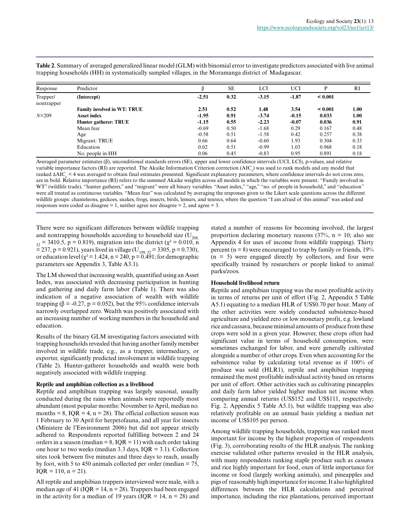| Response               | Predictor                          |         | <b>SE</b> | <b>LCI</b> | <b>UCI</b> | P            | <b>RI</b> |
|------------------------|------------------------------------|---------|-----------|------------|------------|--------------|-----------|
| Trapper/<br>nontrapper | (Intercept)                        | $-2.51$ | 0.32      | $-3.15$    | $-1.87$    | ${}_{0.001}$ |           |
|                        | <b>Family involved in WT: TRUE</b> | 2.51    | 0.52      | 1.48       | 3.54       | < 0.001      | 1.00      |
| $N = 209$              | <b>Asset index</b>                 | $-1.95$ | 0.91      | $-3.74$    | $-0.15$    | 0.033        | 1.00      |
|                        | Hunter gatherer: TRUE              | $-1.15$ | 0.55      | $-2.23$    | $-0.07$    | 0.036        | 0.91      |
|                        | Mean fear                          | $-0.69$ | 0.50      | $-1.68$    | 0.29       | 0.167        | 0.48      |
|                        | Age                                | $-0.58$ | 0.51      | $-1.58$    | 0.42       | 0.257        | 0.38      |
|                        | Migrant: TRUE                      | 0.66    | 0.64      | $-0.60$    | 1.93       | 0.304        | 0.33      |
|                        | Education                          | 0.02    | 0.51      | $-0.99$    | 1.03       | 0.968        | 0.18      |
|                        | No. people in HH                   | 0.06    | 0.45      | $-0.83$    | 0.95       | 0.891        | 0.18      |

**Table 2**. Summary of averaged generalized linear model (GLM) with binomial error to investigate predictors associated with live animal trapping households (HH) in systematically sampled villages, in the Moramanga district of Madagascar.

Averaged parameter estimates  $(\beta)$ , unconditional standards errors (SE), upper and lower confidence intervals (UCI, LCI), p-values, and relative variable importance factors (RI) are reported. The Akaike Information Criterion correction (AIC<sub>c</sub>) was used to rank models and any model that ranked ∆AIC<sub>c</sub> < 4 was averaged to obtain final estimates presented. Significant explanatory parameters, where confidence intervals do not cross zero, are in bold. Relative importance (RI) refers to the summed Akaike weights across all models in which the variables were present. "Family involved in WT" (wildlife trade), "hunter gatherer," and "migrant" were all binary variables. "Asset index," "age," "no. of people in household," and "education" were all treated as continuous variables. "Mean fear" was calculated by averaging the responses given to the Likert scale questions across the different wildlife groups: chameleons, geckoes, snakes, frogs, insects, birds, lemurs, and tenrecs, where the question "I am afraid of this animal" was asked and responses were coded as disagree = 1, neither agree nor disagree = 2, and agree = 3.

There were no significant differences between wildlife trapping and nontrapping households according to household size  $(U_{208})$  $_{32}$  = 3410.5, p = 0.819), migration into the district ( $\chi^2$  = 0.010, n  $= 237$ , p = 0.921), years lived in village (U<sub>199, 32</sub> = 3305, p = 0.730), or education level ( $\chi^2$  = 1.424, n = 240, p = 0.491; for demographic parameters see Appendix 3, Table A3.1).

The LM showed that increasing wealth, quantified using an Asset Index, was associated with decreasing participation in hunting and gathering and daily farm labor (Table 1). There was also indication of a negative association of wealth with wildlife trapping ( $\beta$  = -0.27, p = 0.052), but the 95% confidence intervals narrowly overlapped zero. Wealth was positively associated with an increasing number of working members in the household and education.

Results of the binary GLM investigating factors associated with trapping households revealed that having another family member involved in wildlife trade, e.g., as a trapper, intermediary, or exporter, significantly predicted involvement in wildlife trapping (Table 2). Hunter-gatherer households and wealth were both negatively associated with wildlife trapping.

#### **Reptile and amphibian collection as a livelihood**

Reptile and amphibian trapping was largely seasonal, usually conducted during the rains when animals were reportedly most abundant (most popular months: November to April, median no. months =  $8$ , IQR =  $4$ , n =  $28$ ). The official collection season was 1 February to 30 April for herpetofauna, and all year for insects (Ministere de l'Environment 2006) but did not appear strictly adhered to. Respondents reported fulfilling between 2 and 24 orders in a season (median =  $8$ , IQR = 11) with each order taking one hour to two weeks (median 3.3 days, IQR = 3.1). Collection sites took between five minutes and three days to reach, usually by foot, with 5 to 450 animals collected per order (median = 75,  $IQR = 110$ ,  $n = 21$ ).

All reptile and amphibian trappers interviewed were male, with a median age of 41 ( $IQR = 14$ ,  $n = 28$ ). Trappers had been engaged in the activity for a median of 19 years ( $IQR = 14$ ,  $n = 28$ ) and stated a number of reasons for becoming involved, the largest proportion declaring monetary reasons  $(37\%), n = 10$ ; also see Appendix 4 for uses of income from wildlife trapping). Thirty percent ( $n = 8$ ) were encouraged to trap by family or friends, 19%  $(n = 5)$  were engaged directly by collectors, and four were specifically trained by researchers or people linked to animal parks/zoos.

#### **Household livelihood return**

Reptile and amphibian trapping was the most profitable activity in terms of returns per unit of effort (Fig. 2, Appendix 5 Table A5.1) equating to a median HLR of US\$0.70 per hour. Many of the other activities were widely conducted subsistence-based agriculture and yielded zero or low monetary profit, e.g. lowland rice and cassava, because minimal amounts of produce from these crops were sold in a given year. However, these crops often had significant value in terms of household consumption, were sometimes exchanged for labor, and were generally cultivated alongside a number of other crops. Even when accounting for the subsistence value by calculating total revenue as if 100% of produce was sold (HLR1), reptile and amphibian trapping remained the most profitable individual activity based on returns per unit of effort. Other activities such as cultivating pineapples and daily farm labor yielded higher median net income when comparing annual returns (US\$152 and US\$111, respectively; Fig. 2, Appendix 5 Table A5.1), but wildlife trapping was also relatively profitable on an annual basis yielding a median net income of US\$105 per person.

Among wildlife trapping households, trapping was ranked most important for income by the highest proportion of respondents (Fig. 3), corroborating results of the HLR analysis. The ranking exercise validated other patterns revealed in the HLR analysis, with many respondents ranking staple produce such as cassava and rice highly important for food, oxen of little importance for income or food (largely working animals), and pineapples and pigs of reasonably high importance for income. It also highlighted differences between the HLR calculations and perceived importance, including the rice plantations, perceived important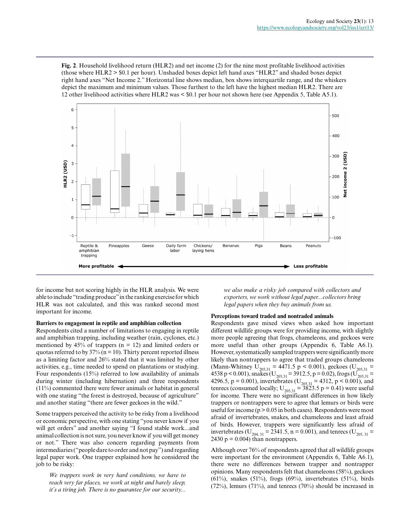**Fig. 2**. Household livelihood return (HLR2) and net income (2) for the nine most profitable livelihood activities (those where HLR2 > \$0.1 per hour). Unshaded boxes depict left hand axes "HLR2" and shaded boxes depict right hand axes "Net Income 2." Horizontal line shows median, box shows interquartile range, and the whiskers depict the maximum and minimum values. Those furthest to the left have the highest median HLR2. There are 12 other livelihood activities where HLR2 was < \$0.1 per hour not shown here (see Appendix 5, Table A5.1).



for income but not scoring highly in the HLR analysis. We were able to include "trading produce" in the ranking exercise for which HLR was not calculated, and this was ranked second most important for income.

#### **Barriers to engagement in reptile and amphibian collection**

Respondents cited a number of limitations to engaging in reptile and amphibian trapping, including weather (rain, cyclones, etc.) mentioned by  $45\%$  of trappers (n = 12) and limited orders or quotas referred to by  $37\%$  (n = 10). Thirty percent reported illness as a limiting factor and 26% stated that it was limited by other activities, e.g., time needed to spend on plantations or studying. Four respondents (15%) referred to low availability of animals during winter (including hibernation) and three respondents (11%) commented there were fewer animals or habitat in general with one stating "the forest is destroyed, because of agriculture" and another stating "there are fewer geckoes in the wild."

Some trappers perceived the activity to be risky from a livelihood or economic perspective, with one stating "you never know if you will get orders" and another saying "I found stable work...and animal collection is not sure, you never know if you will get money or not." There was also concern regarding payments from intermediaries ("people dare to order and not pay") and regarding legal paper work. One trapper explained how he considered the job to be risky:

*We trappers work in very hard conditions, we have to reach very far places, we work at night and barely sleep, it's a tiring job. There is no guarantee for our security...*

*we also make a risky job compared with collectors and exporters, we work without legal paper...collectors bring legal papers when they buy animals from us.*

#### **Perceptions toward traded and nontraded animals**

Respondents gave mixed views when asked how important different wildlife groups were for providing income, with slightly more people agreeing that frogs, chameleons, and geckoes were more useful than other groups (Appendix 6, Table A6.1). However, systematically sampled trappers were significantly more likely than nontrappers to agree that traded groups chameleons (Mann-Whitney  $U_{205,31} = 4471.5 \text{ p} < 0.001$ ), geckoes ( $U_{205,31} =$ 4538 p < 0.001), snakes (U<sub>205,31</sub> = 3912.5, p = 0.02), frogs (U<sub>205,31</sub> = 4296.5, p = 0.001), invertebrates ( $U_{205,31}$  = 4312, p < 0.001), and tenrecs (consumed locally;  $U_{205,31} = 3823.5 \text{ p} = 0.41$ ) were useful for income. There were no significant differences in how likely trappers or nontrappers were to agree that lemurs or birds were useful for income ( $p > 0.05$  in both cases). Respondents were most afraid of invertebrates, snakes, and chameleons and least afraid of birds. However, trappers were significantly less afraid of invertebrates (U<sub>204, 31</sub> = 2341.5, n = 0.001), and tenrecs (U<sub>205, 31</sub> =  $2430 \text{ p} = 0.004$ ) than nontrappers.

Although over 76% of respondents agreed that all wildlife groups were important for the environment (Appendix 6, Table A6.1), there were no differences between trapper and nontrapper opinions. Many respondents felt that chameleons (58%), geckoes (61%), snakes (51%), frogs (69%), invertebrates (51%), birds (72%), lemurs (71%), and tenrecs (70%) should be increased in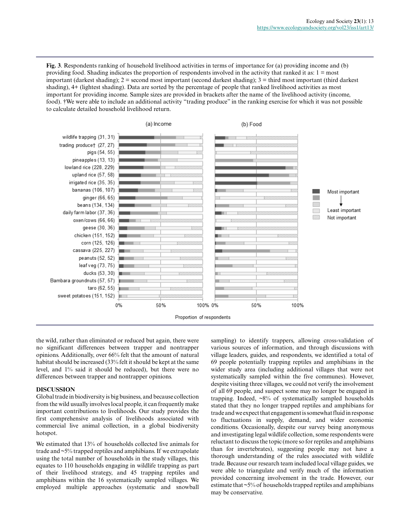**Fig. 3**. Respondents ranking of household livelihood activities in terms of importance for (a) providing income and (b) providing food. Shading indicates the proportion of respondents involved in the activity that ranked it as: 1 = most important (darkest shading); 2 = second most important (second darkest shading); 3 = third most important (third darkest shading), 4+ (lightest shading). Data are sorted by the percentage of people that ranked livelihood activities as most important for providing income. Sample sizes are provided in brackets after the name of the livelihood activity (income, food). †We were able to include an additional activity "trading produce" in the ranking exercise for which it was not possible to calculate detailed household livelihood return.



the wild, rather than eliminated or reduced but again, there were no significant differences between trapper and nontrapper opinions. Additionally, over 66% felt that the amount of natural habitat should be increased (33% felt it should be kept at the same level, and 1% said it should be reduced), but there were no differences between trapper and nontrapper opinions.

#### **DISCUSSION**

Global trade in biodiversity is big business, and because collection from the wild usually involves local people, it can frequently make important contributions to livelihoods. Our study provides the first comprehensive analysis of livelihoods associated with commercial live animal collection, in a global biodiversity hotspot.

We estimated that 13% of households collected live animals for trade and ~5% trapped reptiles and amphibians. If we extrapolate using the total number of households in the study villages, this equates to 110 households engaging in wildlife trapping as part of their livelihood strategy, and 45 trapping reptiles and amphibians within the 16 systematically sampled villages. We employed multiple approaches (systematic and snowball sampling) to identify trappers, allowing cross-validation of various sources of information, and through discussions with village leaders, guides, and respondents, we identified a total of 69 people potentially trapping reptiles and amphibians in the wider study area (including additional villages that were not systematically sampled within the five communes). However, despite visiting three villages, we could not verify the involvement of all 69 people, and suspect some may no longer be engaged in trapping. Indeed, ~8% of systematically sampled households stated that they no longer trapped reptiles and amphibians for trade and we expect that engagement is somewhat fluid in response to fluctuations in supply, demand, and wider economic conditions. Occasionally, despite our survey being anonymous and investigating legal wildlife collection, some respondents were reluctant to discuss the topic (more so for reptiles and amphibians than for invertebrates), suggesting people may not have a thorough understanding of the rules associated with wildlife trade. Because our research team included local village guides, we were able to triangulate and verify much of the information provided concerning involvement in the trade. However, our estimate that ~5% of households trapped reptiles and amphibians may be conservative.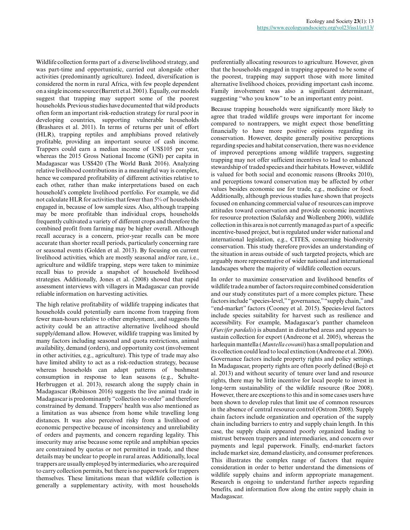Wildlife collection forms part of a diverse livelihood strategy, and was part-time and opportunistic, carried out alongside other activities (predominantly agriculture). Indeed, diversification is considered the norm in rural Africa, with few people dependent on a single income source (Barrett et al. 2001). Equally, our models suggest that trapping may support some of the poorest households. Previous studies have documented that wild products often form an important risk-reduction strategy for rural poor in developing countries, supporting vulnerable households (Brashares et al. 2011). In terms of returns per unit of effort (HLR), trapping reptiles and amphibians proved relatively profitable, providing an important source of cash income. Trappers could earn a median income of US\$105 per year, whereas the 2015 Gross National Income (GNI) per capita in Madagascar was US\$420 (The World Bank 2016). Analyzing relative livelihood contributions in a meaningful way is complex, hence we compared profitability of different activities relative to each other, rather than make interpretations based on each household's complete livelihood portfolio. For example, we did not calculate HLR for activities that fewer than 5% of households engaged in, because of low sample sizes. Also, although trapping may be more profitable than individual crops, households frequently cultivated a variety of different crops and therefore the combined profit from farming may be higher overall. Although recall accuracy is a concern, prior-year recalls can be more accurate than shorter recall periods, particularly concerning rare or seasonal events (Golden et al. 2013). By focusing on current livelihood activities, which are mostly seasonal and/or rare, i.e., agriculture and wildlife trapping, steps were taken to minimize recall bias to provide a snapshot of household livelihood strategies. Additionally, Jones et al. (2008) showed that rapid assessment interviews with villagers in Madagascar can provide reliable information on harvesting activities.

The high relative profitability of wildlife trapping indicates that households could potentially earn income from trapping from fewer man-hours relative to other employment, and suggests the activity could be an attractive alternative livelihood should supply/demand allow. However, wildlife trapping was limited by many factors including seasonal and quota restrictions, animal availability, demand (orders), and opportunity cost (involvement in other activities, e.g., agriculture). This type of trade may also have limited ability to act as a risk-reduction strategy, because whereas households can adapt patterns of bushmeat consumption in response to lean seasons (e.g., Schulte-Herbruggen et al. 2013), research along the supply chain in Madagascar (Robinson 2016) suggests the live animal trade in Madagascar is predominantly "collection to order" and therefore constrained by demand. Trappers' health was also mentioned as a limitation as was absence from home while travelling long distances. It was also perceived risky from a livelihood or economic perspective because of inconsistency and unreliability of orders and payments, and concern regarding legality. This insecurity may arise because some reptile and amphibian species are constrained by quotas or not permitted in trade, and these details may be unclear to people in rural areas. Additionally, local trappers are usually employed by intermediaries, who are required to carry collection permits, but there is no paperwork for trappers themselves. These limitations mean that wildlife collection is generally a supplementary activity, with most households

preferentially allocating resources to agriculture. However, given that the households engaged in trapping appeared to be some of the poorest, trapping may support those with more limited alternative livelihood choices, providing important cash income. Family involvement was also a significant determinant, suggesting "who you know" to be an important entry point.

Because trapping households were significantly more likely to agree that traded wildlife groups were important for income compared to nontrappers, we might expect those benefitting financially to have more positive opinions regarding its conservation. However, despite generally positive perceptions regarding species and habitat conservation, there was no evidence of improved perceptions among wildlife trappers, suggesting trapping may not offer sufficient incentives to lead to enhanced stewardship of traded species and their habitats. However, wildlife is valued for both social and economic reasons (Brooks 2010), and perceptions toward conservation may be affected by other values besides economic use for trade, e.g., medicine or food. Additionally, although previous studies have shown that projects focused on enhancing commercial value of resources can improve attitudes toward conservation and provide economic incentives for resource protection (Salafsky and Wollenberg 2000), wildlife collection in this area is not currently managed as part of a specific incentive-based project, but is regulated under wider national and international legislation, e.g., CITES, concerning biodiversity conservation. This study therefore provides an understanding of the situation in areas outside of such targeted projects, which are arguably more representative of wider national and international landscapes where the majority of wildlife collection occurs.

In order to maximize conservation and livelihood benefits of wildlife trade a number of factors require combined consideration and our study constitutes part of a more complex picture. These factors include "species-level," "governance," "supply chain," and "end-market" factors (Cooney et al. 2015). Species-level factors include species suitability for harvest such as resilience and accessibility. For example, Madagascar's panther chameleon (*Furcifer pardalis*) is abundant in disturbed areas and appears to sustain collection for export (Andreone et al. 2005), whereas the harlequin mantella (*Mantella cowanii*) has a small population and its collection could lead to local extinction (Andreone et al. 2006). Governance factors include property rights and policy settings. In Madagascar, property rights are often poorly defined (Bojö et al. 2013) and without security of tenure over land and resource rights, there may be little incentive for local people to invest in long-term sustainability of the wildlife resource (Roe 2008). However, there are exceptions to this and in some cases users have been shown to develop rules that limit use of common resources in the absence of central resource control (Ostrom 2008). Supply chain factors include organization and operation of the supply chain including barriers to entry and supply chain length. In this case, the supply chain appeared poorly organized leading to mistrust between trappers and intermediaries, and concern over payments and legal paperwork. Finally, end-market factors include market size, demand elasticity, and consumer preferences. This illustrates the complex range of factors that require consideration in order to better understand the dimensions of wildlife supply chains and inform appropriate management. Research is ongoing to understand further aspects regarding benefits, and information flow along the entire supply chain in Madagascar.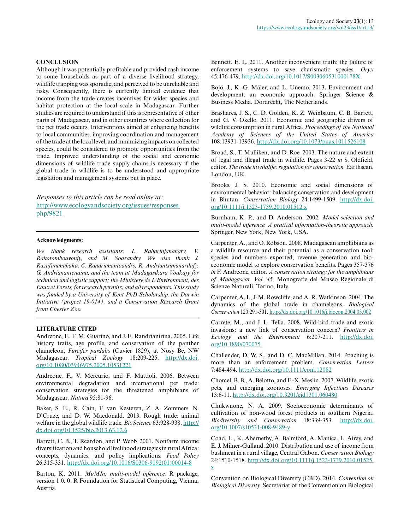#### **CONCLUSION**

Although it was potentially profitable and provided cash income to some households as part of a diverse livelihood strategy, wildlife trapping was sporadic, and perceived to be unreliable and risky. Consequently, there is currently limited evidence that income from the trade creates incentives for wider species and habitat protection at the local scale in Madagascar. Further studies are required to understand if this is representative of other parts of Madagascar, and in other countries where collection for the pet trade occurs. Interventions aimed at enhancing benefits to local communities, improving coordination and management of the trade at the local level, and minimizing impacts on collected species, could be considered to promote opportunities from the trade. Improved understanding of the social and economic dimensions of wildlife trade supply chains is necessary if the global trade in wildlife is to be understood and appropriate legislation and management systems put in place.

*Responses to this article can be read online at:* [http://www.ecologyandsociety.org/issues/responses.](http://www.ecologyandsociety.org/issues/responses.php/9821) [php/9821](http://www.ecologyandsociety.org/issues/responses.php/9821)

#### **Acknowledgments:**

*We thank research assistants: L. Raharinjanahary, V. Rakotomboavonjy, and M. Soazandry. We also thank J. Razafimanahaka, C. Randrianantoandro, R. Andriantsimanarilafy, G. Andrianantenaina, and the team at Madagasikara Voakajy for technical and logistic support; the Ministere de L'Environment, des Eaux et Forets, for research permits; and all respondents. This study was funded by a University of Kent PhD Scholarship, the Darwin Initiative (project 19-014), and a Conservation Research Grant from Chester Zoo.*

#### **LITERATURE CITED**

Andreone, F., F. M. Guarino, and J. E. Randrianirina. 2005. Life history traits, age profile, and conservation of the panther chameleon, *Furcifer pardalis* (Cuvier 1829), at Nosy Be, NW Madagascar. *Tropical Zoology* 18:209-225. [http://dx.doi.](http://dx.doi.org/10.1080%2F03946975.2005.10531221) [org/10.1080/03946975.2005.10531221](http://dx.doi.org/10.1080%2F03946975.2005.10531221)

Andreone, F., V. Mercurio, and F. Mattioli. 2006. Between environmental degradation and international pet trade: conservation strategies for the threatened amphibians of Madagascar. *Natura* 95:81-96.

Baker, S. E., R. Cain, F. van Kesteren, Z. A. Zommers, N. D'Cruze, and D. W. Macdonald. 2013. Rough trade: animal welfare in the global wildlife trade. *BioScience* 63:928-938. [http://](http://dx.doi.org/10.1525%2Fbio.2013.63.12.6) [dx.doi.org/10.1525/bio.2013.63.12.6](http://dx.doi.org/10.1525%2Fbio.2013.63.12.6)

Barrett, C. B., T. Reardon, and P. Webb. 2001. Nonfarm income diversification and household livelihood strategies in rural Africa: concepts, dynamics, and policy implications. *Food Policy* 26:315-331. [http://dx.doi.org/10.1016/S0306-9192\(01\)00014-8](http://dx.doi.org/10.1016%2FS0306-9192%2801%2900014-8)

Barton, K. 2011. *MuMIn: multi-model inference.* R package, version 1.0. 0. R Foundation for Statistical Computing, Vienna, Austria.

Bennett, E. L. 2011. Another inconvenient truth: the failure of enforcement systems to save charismatic species. *Oryx* 45:476-479. [http://dx.doi.org/10.1017/S003060531000178X](http://dx.doi.org/10.1017%2FS003060531000178X) 

Bojö, J., K.-G. Mäler, and L. Unemo. 2013. Environment and development: an economic approach. Springer Science & Business Media, Dordrecht, The Netherlands.

Brashares, J. S., C. D. Golden, K. Z. Weinbaum, C. B. Barrett, and G. V. Okello. 2011. Economic and geographic drivers of wildlife consumption in rural Africa. *Proceedings of the National Academy of Sciences of the United States of America* 108:13931-13936. [http://dx.doi.org/10.1073/pnas.1011526108](http://dx.doi.org/10.1073%2Fpnas.1011526108) 

Broad, S., T. Mulliken, and D. Roe. 2003. The nature and extent of legal and illegal trade in wildlife. Pages 3-22 *in* S. Oldfield, editor. *The trade in wildlife: regulation for conservation.* Earthscan, London, UK.

Brooks, J. S. 2010. Economic and social dimensions of environmental behavior: balancing conservation and development in Bhutan. *Conservation Biology* 24:1499-1509. [http://dx.doi.](http://dx.doi.org/10.1111%2Fj.1523-1739.2010.01512.x) [org/10.1111/j.1523-1739.2010.01512.x](http://dx.doi.org/10.1111%2Fj.1523-1739.2010.01512.x)

Burnham, K. P., and D. Anderson. 2002. *Model selection and multi-model inference. A pratical information-theoretic approach.* Springer, New York, New York, USA.

Carpenter, A., and O. Robson. 2008. Madagascan amphibians as a wildlife resource and their potential as a conservation tool: species and numbers exported, revenue generation and bioeconomic model to explore conservation benefits. Pages 357-376 *in* F. Andreone, editor. *A conservation strategy for the amphibians of Madagascar. Vol. 45.* Monografie del Museo Regionale di Scienze Naturali, Torino, Italy.

Carpenter, A. I., J. M. Rowcliffe, and A. R. Watkinson. 2004. The dynamics of the global trade in chameleons. *Biological Conservation* 120:291-301. <http://dx.doi.org/10.1016/j.biocon.2004.03.002>

Carrete, M., and J. L. Tella. 2008. Wild-bird trade and exotic invasions: a new link of conservation concern? *Frontiers in Ecology and the Environment* 6:207-211. [http://dx.doi.](http://dx.doi.org/10.1890%2F070075) [org/10.1890/070075](http://dx.doi.org/10.1890%2F070075)

Challender, D. W. S., and D. C. MacMillan. 2014. Poaching is more than an enforcement problem. *Conservation Letters* 7:484-494. [http://dx.doi.org/10.1111/conl.12082](http://dx.doi.org/10.1111%2Fconl.12082)

Chomel, B. B., A. Belotto, and F.-X. Meslin. 2007. Wildlife, exotic pets, and emerging zoonoses. *Emerging Infectious Diseases* 13:6-11. [http://dx.doi.org/10.3201/eid1301.060480](http://dx.doi.org/10.3201%2Feid1301.060480) 

Chukwuone, N. A. 2009. Socioeconomic determinants of cultivation of non-wood forest products in southern Nigeria. *Biodiversity and Conservation* 18:339-353. [http://dx.doi.](http://dx.doi.org/10.1007%2Fs10531-008-9489-y) [org/10.1007/s10531-008-9489-y](http://dx.doi.org/10.1007%2Fs10531-008-9489-y)

Coad, L., K. Abernethy, A. Balmford, A. Manica, L. Airey, and E. J. Milner-Gulland. 2010. Distribution and use of income from bushmeat in a rural village, Central Gabon. *Conservation Biology* 24:1510-1518. [http://dx.doi.org/10.1111/j.1523-1739.2010.01525.](http://dx.doi.org/10.1111%2Fj.1523-1739.2010.01525.x) [x](http://dx.doi.org/10.1111%2Fj.1523-1739.2010.01525.x) 

Convention on Biological Diversity (CBD). 2014. *Convention on Biological Diversity.* Secretariat of the Convention on Biological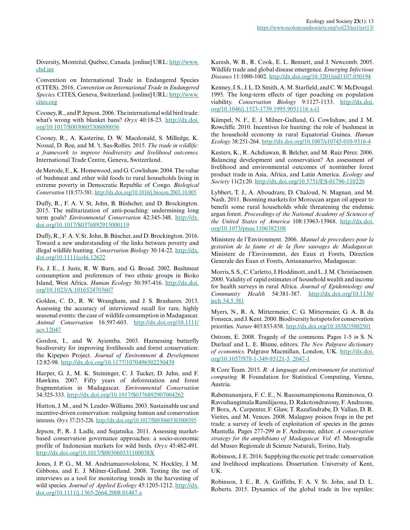Diversity, Montréal, Québec, Canada. [online] URL: [http://www.](http://www.cbd.int) [cbd.int](http://www.cbd.int) 

Convention on International Trade in Endangered Species (CITES). 2016. *Convention on International Trade in Endangered Species.* CITES, Geneva, Switzerland. [online] URL: [http://www.](http://www.cites.org) [cites.org](http://www.cites.org)

Cooney, R., and P. Jepson. 2006. The international wild bird trade: what's wrong with blanket bans? *Oryx* 40:18-23. [http://dx.doi.](http://dx.doi.org/10.1017%2FS0030605306000056) [org/10.1017/S0030605306000056](http://dx.doi.org/10.1017%2FS0030605306000056)

Cooney, R., A. Kasterine, D. W. Macdonald, S. Milledge, K. Nossal, D. Roe, and M. 't. Sas-Rolfes. 2015. *The trade in wildlife: a framework to improve biodiversity and livelihood outcomes.* International Trade Centre, Geneva, Switzerland.

de Merode, E., K. Homewood, and G. Cowlishaw. 2004. The value of bushmeat and other wild foods to rural households living in extreme poverty in Democratic Republic of Congo. *Biological Conservation* 118:573-581. [http://dx.doi.org/10.1016/j.biocon.2003.10.005](http://dx.doi.org/10.1016%2Fj.biocon.2003.10.005)

Duffy, R., F. A. V. St. John, B. Büshcher, and D. Brockington. 2015. The militarization of anti-poaching: undermining long term goals? *Environmental Conservation* 42:345-348. [http://dx.](http://dx.doi.org/10.1017%2FS0376892915000119) [doi.org/10.1017/S0376892915000119](http://dx.doi.org/10.1017%2FS0376892915000119) 

Duffy, R., F. A. V. St. John, B. Büscher, and D. Brockington. 2016. Toward a new understanding of the links between poverty and illegal wildlife hunting. *Conservation Biology* 30:14-22. [http://dx.](http://dx.doi.org/10.1111%2Fcobi.12622) [doi.org/10.1111/cobi.12622](http://dx.doi.org/10.1111%2Fcobi.12622)

Fa, J. E., J. Juste, R. W. Burn, and G. Broad. 2002. Bushmeat consumption and preferences of two ethnic groups in Bioko Island, West Africa. *Human Ecology* 30:397-416. [http://dx.doi.](http://dx.doi.org/10.1023%2FA%3A1016524703607) [org/10.1023/A:1016524703607](http://dx.doi.org/10.1023%2FA%3A1016524703607)

Golden, C. D., R. W. Wrangham, and J. S. Brashares. 2013. Assessing the accuracy of interviewed recall for rare, highly seasonal events: the case of wildlife consumption in Madagascar. *Animal Conservation* 16:597-603. [http://dx.doi.org/10.1111/](http://dx.doi.org/10.1111%2Facv.12047) [acv.12047](http://dx.doi.org/10.1111%2Facv.12047)

Gordon, I., and W. Ayiemba. 2003. Harnessing butterfly biodiversity for improving livelihoods and forest conservation: the Kipepeo Project. *Journal of Environment & Development* 12:82-98. [http://dx.doi.org/10.1177/1070496502250439](http://dx.doi.org/10.1177%2F1070496502250439)

Harper, G. J., M. K. Steininger, C. J. Tucker, D. Juhn, and F. Hawkins. 2007. Fifty years of deforestation and forest fragmentation in Madagascar. *Environmental Conservation* 34:325-333. [http://dx.doi.org/10.1017/S0376892907004262](http://dx.doi.org/10.1017%2FS0376892907004262)

Hutton, J. M., and N. Leader-Williams. 2003. Sustainable use and incentive-driven conservation: realigning human and conservation interests. *Oryx* 37:215-226. [http://dx.doi.org/10.1017/S0030605303000395](http://dx.doi.org/10.1017%2FS0030605303000395)

Jepson, P., R. J. Ladle, and Sujatnika. 2011. Assessing marketbased conservation governance approaches: a socio-economic profile of Indonesian markets for wild birds. *Oryx* 45:482-491. [http://dx.doi.org/10.1017/S003060531100038X](http://dx.doi.org/10.1017%2FS003060531100038X) 

Jones, J. P. G., M. M. Andriamarovololona, N. Hockley, J. M. Gibbons, and E. J. Milner‐Gulland. 2008. Testing the use of interviews as a tool for monitoring trends in the harvesting of wild species. *Journal of Applied Ecology* 45:1205-1212. [http://dx.](http://dx.doi.org/10.1111%2Fj.1365-2664.2008.01487.x) [doi.org/10.1111/j.1365-2664.2008.01487.x](http://dx.doi.org/10.1111%2Fj.1365-2664.2008.01487.x)

Karesh, W. B., R. Cook, E. L. Bennett, and J. Newcomb. 2005. Wildlife trade and global disease emergence. *Emerging Infectious Diseases* 11:1000-1002. [http://dx.doi.org/10.3201/eid1107.050194](http://dx.doi.org/10.3201%2Feid1107.050194) 

Kenney, J. S., J. L. D. Smith, A. M. Starfield, and C. W. McDougal. 1995. The long-term effects of tiger poaching on population viability. *Conservation Biology* 9:1127-1133. [http://dx.doi.](http://dx.doi.org/10.1046%2Fj.1523-1739.1995.9051116.x-i1) [org/10.1046/j.1523-1739.1995.9051116.x-i1](http://dx.doi.org/10.1046%2Fj.1523-1739.1995.9051116.x-i1)

Kümpel, N. F., E. J. Milner-Gulland, G. Cowlishaw, and J. M. Rowcliffe. 2010. Incentives for hunting: the role of bushmeat in the household economy in rural Equatorial Guinea. *Human Ecology* 38:251-264. [http://dx.doi.org/10.1007/s10745-010-9316-4](http://dx.doi.org/10.1007%2Fs10745-010-9316-4) 

Kusters, K., R. Achdiawan, B. Belcher, and M. Ruiz Pérez. 2006. Balancing development and conservation? An assessment of livelihood and environmental outcomes of nontimber forest product trade in Asia, Africa, and Latin America. *Ecology and Society* 11(2):20. [http://dx.doi.org/10.5751/ES-01796-110220](http://dx.doi.org/10.5751%2FES-01796-110220)

Lybbert, T. J., A. Aboudrare, D. Chaloud, N. Magnan, and M. Nash. 2011. Booming markets for Moroccan argan oil appear to benefit some rural households while threatening the endemic argan forest. *Proceedings of the National Academy of Sciences of the United States of America* 108:13963-13968. [http://dx.doi.](http://dx.doi.org/10.1073%2Fpnas.1106382108) [org/10.1073/pnas.1106382108](http://dx.doi.org/10.1073%2Fpnas.1106382108) 

Ministere de l'Environment. 2006. *Manuel de procedures pour la gestation de la faune et de la flore sauvages de Madagascar.* Ministere de l'Environment, des Eaux et Forets, Direction Generale des Eaux et Forets, Antananarivo, Madagascar.

Morris, S. S., C. Carletto, J. Hoddinott, and L. J. M. Christiaensen. 2000. Validity of rapid estimates of household wealth and income for health surveys in rural Africa. *Journal of Epidemiology and Community Health* 54:381-387. [http://dx.doi.org/10.1136/](http://dx.doi.org/10.1136%2Fjech.54.5.381) [jech.54.5.381](http://dx.doi.org/10.1136%2Fjech.54.5.381) 

Myers, N., R. A. Mittermeier, C. G. Mittermeier, G. A. B. da Fonseca, and J. Kent. 2000. Biodiversity hotspots for conservation priorities. *Nature* 403:853-858. [http://dx.doi.org/10.1038/35002501](http://dx.doi.org/10.1038%2F35002501) 

Ostrom, E. 2008. Tragedy of the commons. Pages 1-5 *in* S. N. Durlauf and L. E. Blume, editors. *The New Palgrave dictionary of economics.* Palgrave Macmillan, London, UK. [http://dx.doi.](http://dx.doi.org/10.1057%2F978-1-349-95121-5_2047-1) [org/10.1057/978-1-349-95121-5\\_2047-1](http://dx.doi.org/10.1057%2F978-1-349-95121-5_2047-1) 

R Core Team. 2015. *R: A language and environment for statistical computing.* R Foundation for Statistical Computing, Vienna, Austria.

Rabemananjara, F. C. E., N. Rasoamampionona Raminosoa, O. Ravoahangimala Ramilijaona, D. Rakotondravony, F. Andreone, P. Bora, A. Carpenter, F. Glaw, T. Razafindrabe, D. Vallan, D. R. Vieites, and M. Vences. 2008. Malagasy poison frogs in the pet trade: a survey of levels of exploitation of species in the genus Mantella. Pages 277-299 *in* F. Andreone, editor. *A conservation strategy for the amphibians of Madagascar. Vol. 45.* Monografie del Museo Regionale di Scienze Naturali, Torino, Italy.

Robinson, J. E. 2016. Supplying the exotic pet trade: conservation and livelihood implications. Dissertation. University of Kent, UK.

Robinson, J. E., R. A. Griffiths, F. A. V. St. John, and D. L. Roberts. 2015. Dynamics of the global trade in live reptiles: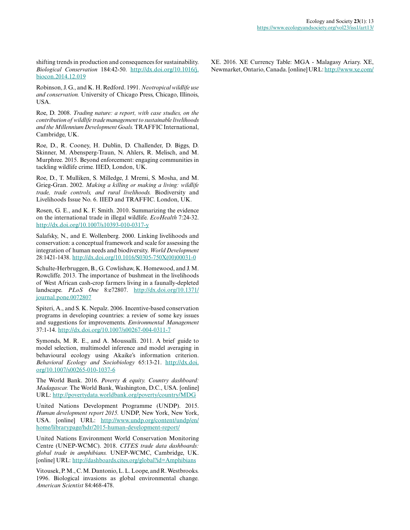shifting trends in production and consequences for sustainability. *Biological Conservation* 184:42-50. [http://dx.doi.org/10.1016/j.](http://dx.doi.org/10.1016%2Fj.biocon.2014.12.019) [biocon.2014.12.019](http://dx.doi.org/10.1016%2Fj.biocon.2014.12.019)

Robinson, J. G., and K. H. Redford. 1991. *Neotropical wildlife use and conservation.* University of Chicago Press, Chicago, Illinois, USA.

Roe, D. 2008. *Trading nature: a report, with case studies, on the contribution of wildlife trade management to sustainable livelihoods and the Millennium Development Goals.* TRAFFIC International, Cambridge, UK.

Roe, D., R. Cooney, H. Dublin, D. Challender, D. Biggs, D. Skinner, M. Abensperg-Traun, N. Ahlers, R. Melisch, and M. Murphree. 2015. Beyond enforcement: engaging communities in tackling wildlife crime. IIED, London, UK.

Roe, D., T. Mulliken, S. Milledge, J. Mremi, S. Mosha, and M. Grieg-Gran. 2002. *Making a killing or making a living: wildlife trade, trade controls, and rural livelihoods.* Biodiversity and Livelihoods Issue No. 6. IIED and TRAFFIC. London, UK.

Rosen, G. E., and K. F. Smith. 2010. Summarizing the evidence on the international trade in illegal wildlife. *EcoHealth* 7:24-32. [http://dx.doi.org/10.1007/s10393-010-0317-y](http://dx.doi.org/10.1007%2Fs10393-010-0317-y)

Salafsky, N., and E. Wollenberg. 2000. Linking livelihoods and conservation: a conceptual framework and scale for assessing the integration of human needs and biodiversity. *World Development* 28:1421-1438. [http://dx.doi.org/10.1016/S0305-750X\(00\)00031-0](http://dx.doi.org/10.1016%2FS0305-750X%2800%2900031-0) 

Schulte-Herbruggen, B., G. Cowlishaw, K. Homewood, and J. M. Rowcliffe. 2013. The importance of bushmeat in the livelihoods of West African cash-crop farmers living in a faunally-depleted landscape. *PLoS One* 8:e72807. [http://dx.doi.org/10.1371/](http://dx.doi.org/10.1371%2Fjournal.pone.0072807) [journal.pone.0072807](http://dx.doi.org/10.1371%2Fjournal.pone.0072807)

Spiteri, A., and S. K. Nepalz. 2006. Incentive-based conservation programs in developing countries: a review of some key issues and suggestions for improvements. *Environmental Management* 37:1-14. [http://dx.doi.org/10.1007/s00267-004-0311-7](http://dx.doi.org/10.1007%2Fs00267-004-0311-7) 

Symonds, M. R. E., and A. Moussalli. 2011. A brief guide to model selection, multimodel inference and model averaging in behavioural ecology using Akaike's information criterion. *Behavioral Ecology and Sociobiology* 65:13-21. [http://dx.doi.](http://dx.doi.org/10.1007%2Fs00265-010-1037-6) [org/10.1007/s00265-010-1037-6](http://dx.doi.org/10.1007%2Fs00265-010-1037-6)

The World Bank. 2016. *Poverty & equity. Country dashboard: Madagascar.* The World Bank, Washington, D.C., USA. [online] URL: <http://povertydata.worldbank.org/poverty/country/MDG>

United Nations Development Programme (UNDP). 2015. *Human development report 2015.* UNDP, New York, New York, USA. [online] URL: [http://www.undp.org/content/undp/en/](http://www.undp.org/content/undp/en/home/librarypage/hdr/2015-human-development-report/) [home/librarypage/hdr/2015-human-development-report/](http://www.undp.org/content/undp/en/home/librarypage/hdr/2015-human-development-report/) 

United Nations Environment World Conservation Monitoring Centre (UNEP-WCMC). 2018. *CITES trade data dashboards: global trade in amphibians.* UNEP-WCMC, Cambridge, UK. [online] URL:<http://dashboards.cites.org/global?id=Amphibians>

Vitousek, P. M., C. M. Dantonio, L. L. Loope, and R. Westbrooks. 1996. Biological invasions as global environmental change. *American Scientist* 84:468-478.

XE. 2016. XE Currency Table: MGA - Malagasy Ariary. XE, Newmarket, Ontario, Canada. [online] URL:<http://www.xe.com/>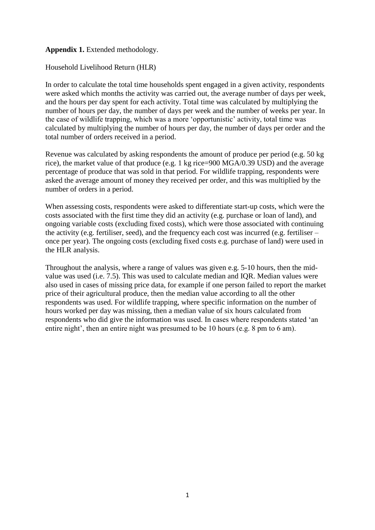## **Appendix 1.** Extended methodology.

### Household Livelihood Return (HLR)

In order to calculate the total time households spent engaged in a given activity, respondents were asked which months the activity was carried out, the average number of days per week, and the hours per day spent for each activity. Total time was calculated by multiplying the number of hours per day, the number of days per week and the number of weeks per year. In the case of wildlife trapping, which was a more 'opportunistic' activity, total time was calculated by multiplying the number of hours per day, the number of days per order and the total number of orders received in a period.

Revenue was calculated by asking respondents the amount of produce per period (e.g. 50 kg rice), the market value of that produce (e.g. 1 kg rice=900 MGA/0.39 USD) and the average percentage of produce that was sold in that period. For wildlife trapping, respondents were asked the average amount of money they received per order, and this was multiplied by the number of orders in a period.

When assessing costs, respondents were asked to differentiate start-up costs, which were the costs associated with the first time they did an activity (e.g. purchase or loan of land), and ongoing variable costs (excluding fixed costs), which were those associated with continuing the activity (e.g. fertiliser, seed), and the frequency each cost was incurred (e.g. fertiliser – once per year). The ongoing costs (excluding fixed costs e.g. purchase of land) were used in the HLR analysis.

Throughout the analysis, where a range of values was given e.g. 5-10 hours, then the midvalue was used (i.e. 7.5). This was used to calculate median and IQR. Median values were also used in cases of missing price data, for example if one person failed to report the market price of their agricultural produce, then the median value according to all the other respondents was used. For wildlife trapping, where specific information on the number of hours worked per day was missing, then a median value of six hours calculated from respondents who did give the information was used. In cases where respondents stated 'an entire night', then an entire night was presumed to be 10 hours (e.g. 8 pm to 6 am).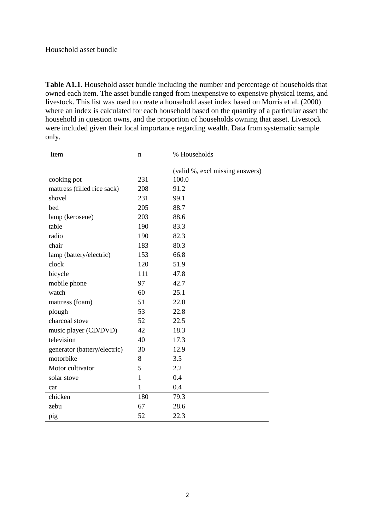**Table A1.1.** Household asset bundle including the number and percentage of households that owned each item. The asset bundle ranged from inexpensive to expensive physical items, and livestock. This list was used to create a household asset index based on Morris et al. (2000) where an index is calculated for each household based on the quantity of a particular asset the household in question owns, and the proportion of households owning that asset. Livestock were included given their local importance regarding wealth. Data from systematic sample only.

| Item                         | n            | % Households                    |
|------------------------------|--------------|---------------------------------|
|                              |              |                                 |
|                              |              | (valid %, excl missing answers) |
| cooking pot                  | 231          | 100.0                           |
| mattress (filled rice sack)  | 208          | 91.2                            |
| shovel                       | 231          | 99.1                            |
| bed                          | 205          | 88.7                            |
| lamp (kerosene)              | 203          | 88.6                            |
| table                        | 190          | 83.3                            |
| radio                        | 190          | 82.3                            |
| chair                        | 183          | 80.3                            |
| lamp (battery/electric)      | 153          | 66.8                            |
| clock                        | 120          | 51.9                            |
| bicycle                      | 111          | 47.8                            |
| mobile phone                 | 97           | 42.7                            |
| watch                        | 60           | 25.1                            |
| mattress (foam)              | 51           | 22.0                            |
| plough                       | 53           | 22.8                            |
| charcoal stove               | 52           | 22.5                            |
| music player (CD/DVD)        | 42           | 18.3                            |
| television                   | 40           | 17.3                            |
| generator (battery/electric) | 30           | 12.9                            |
| motorbike                    | 8            | 3.5                             |
| Motor cultivator             | 5            | 2.2                             |
| solar stove                  | 1            | 0.4                             |
| car                          | $\mathbf{1}$ | 0.4                             |
| chicken                      | 180          | 79.3                            |
| zebu                         | 67           | 28.6                            |
| pig                          | 52           | 22.3                            |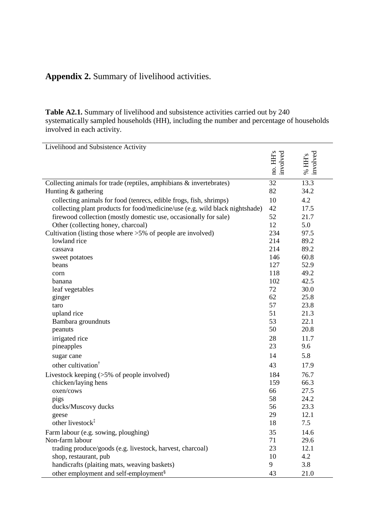# **Appendix 2.** Summary of livelihood activities.

Table A2.1. Summary of livelihood and subsistence activities carried out by 240 systematically sampled households (HH), including the number and percentage of households involved in each activity.

| Livelihood and Subsistence Activity                                                                                                                |                      |                       |
|----------------------------------------------------------------------------------------------------------------------------------------------------|----------------------|-----------------------|
|                                                                                                                                                    | no. HH's<br>involved | involved<br>$\%$ HH's |
| Collecting animals for trade (reptiles, amphibians & invertebrates)<br>Hunting & gathering                                                         | 32<br>82             | 13.3<br>34.2          |
|                                                                                                                                                    | 10                   | 4.2                   |
| collecting animals for food (tenrecs, edible frogs, fish, shrimps)<br>collecting plant products for food/medicine/use (e.g. wild black nightshade) | 42                   | 17.5                  |
| firewood collection (mostly domestic use, occasionally for sale)                                                                                   | 52                   | 21.7                  |
| Other (collecting honey, charcoal)                                                                                                                 | 12                   | 5.0                   |
| Cultivation (listing those where >5% of people are involved)                                                                                       | 234                  | 97.5                  |
| lowland rice                                                                                                                                       | 214                  | 89.2                  |
| cassava                                                                                                                                            | 214                  | 89.2                  |
| sweet potatoes                                                                                                                                     | 146                  | 60.8                  |
| beans                                                                                                                                              | 127                  | 52.9                  |
| corn                                                                                                                                               | 118                  | 49.2                  |
| banana                                                                                                                                             | 102                  | 42.5                  |
| leaf vegetables                                                                                                                                    | 72                   | 30.0                  |
| ginger                                                                                                                                             | 62                   | 25.8                  |
| taro                                                                                                                                               | 57                   | 23.8                  |
| upland rice                                                                                                                                        | 51                   | 21.3                  |
| Bambara groundnuts                                                                                                                                 | 53                   | 22.1                  |
| peanuts                                                                                                                                            | 50                   | 20.8                  |
| irrigated rice                                                                                                                                     | 28                   | 11.7                  |
| pineapples                                                                                                                                         | 23                   | 9.6                   |
| sugar cane                                                                                                                                         | 14                   | 5.8                   |
| other cultivation <sup>†</sup>                                                                                                                     | 43                   | 17.9                  |
| Livestock keeping $($ >5% of people involved)                                                                                                      | 184                  | 76.7                  |
| chicken/laying hens                                                                                                                                | 159                  | 66.3                  |
| oxen/cows                                                                                                                                          | 66                   | 27.5                  |
| pigs                                                                                                                                               | 58                   | 24.2                  |
| ducks/Muscovy ducks                                                                                                                                | 56                   | 23.3                  |
| geese                                                                                                                                              | 29                   | 12.1                  |
| other livestock $^{\ddagger}$                                                                                                                      | 18                   | 7.5                   |
| Farm labour (e.g. sowing, ploughing)                                                                                                               | 35                   | 14.6                  |
| Non-farm labour                                                                                                                                    | 71                   | 29.6                  |
| trading produce/goods (e.g. livestock, harvest, charcoal)                                                                                          | 23                   | 12.1                  |
| shop, restaurant, pub                                                                                                                              | 10                   | 4.2                   |
| handicrafts (plaiting mats, weaving baskets)                                                                                                       | 9                    | 3.8                   |
| other employment and self-employment <sup>§</sup>                                                                                                  | 43                   | 21.0                  |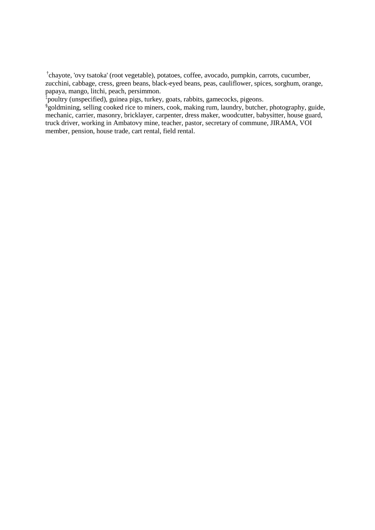† chayote, 'ovy tsatoka' (root vegetable), potatoes, coffee, avocado, pumpkin, carrots, cucumber, zucchini, cabbage, cress, green beans, black-eyed beans, peas, cauliflower, spices, sorghum, orange, papaya, mango, litchi, peach, persimmon.

‡ poultry (unspecified), guinea pigs, turkey, goats, rabbits, gamecocks, pigeons.

sgoldmining, selling cooked rice to miners, cook, making rum, laundry, butcher, photography, guide, mechanic, carrier, masonry, bricklayer, carpenter, dress maker, woodcutter, babysitter, house guard, truck driver, working in Ambatovy mine, teacher, pastor, secretary of commune, JIRAMA, VOI member, pension, house trade, cart rental, field rental.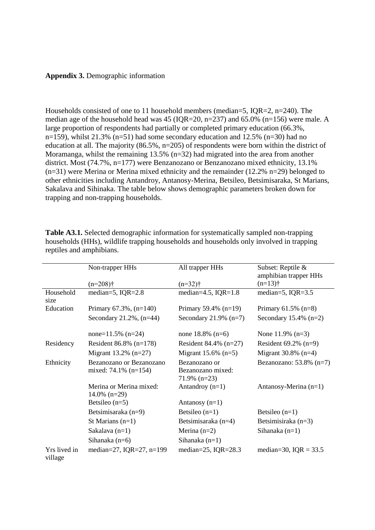### **Appendix 3.** Demographic information

Households consisted of one to 11 household members (median=5, IQR=2, n=240). The median age of the household head was 45 (IQR=20, n=237) and 65.0% (n=156) were male. A large proportion of respondents had partially or completed primary education (66.3%, n=159), whilst 21.3% (n=51) had some secondary education and 12.5% (n=30) had no education at all. The majority (86.5%, n=205) of respondents were born within the district of Moramanga, whilst the remaining 13.5% (n=32) had migrated into the area from another district. Most (74.7%, n=177) were Benzanozano or Benzanozano mixed ethnicity, 13.1% (n=31) were Merina or Merina mixed ethnicity and the remainder (12.2% n=29) belonged to other ethnicities including Antandroy, Antanosy-Merina, Betsileo, Betsimisaraka, St Marians, Sakalava and Sihinaka. The table below shows demographic parameters broken down for trapping and non-trapping households.

|              | Non-trapper HHs               | All trapper HHs            | Subset: Reptile &          |  |  |  |
|--------------|-------------------------------|----------------------------|----------------------------|--|--|--|
|              |                               |                            | amphibian trapper HHs      |  |  |  |
|              | $(n=208)$ †                   | $(n=32)$ †                 | $(n=13)$ †                 |  |  |  |
| Household    | median=5, IQR=2.8             | median=4.5, $IQR=1.8$      | median=5, IQR=3.5          |  |  |  |
| size         |                               |                            |                            |  |  |  |
| Education    | Primary $67.3\%$ , $(n=140)$  | Primary 59.4% $(n=19)$     | Primary $61.5\%$ (n=8)     |  |  |  |
|              | Secondary $21.2\%$ , $(n=44)$ | Secondary 21.9% $(n=7)$    | Secondary $15.4\%$ (n=2)   |  |  |  |
|              |                               |                            |                            |  |  |  |
|              | none= $11.5\%$ (n=24)         | none $18.8\%$ (n=6)        | None $11.9\%$ (n=3)        |  |  |  |
| Residency    | Resident $86.8\%$ (n=178)     | Resident 84.4% $(n=27)$    | Resident $69.2\%$ (n=9)    |  |  |  |
|              | Migrant $13.2\%$ (n=27)       | Migrant $15.6\%$ (n=5)     | Migrant $30.8\%$ (n=4)     |  |  |  |
| Ethnicity    | Bezanozano or Bezanozano      | Bezanozano or              | Bezanozano: $53.8\%$ (n=7) |  |  |  |
|              | mixed: 74.1% $(n=154)$        | Bezanozano mixed:          |                            |  |  |  |
|              |                               | $71.9\%$ (n=23)            |                            |  |  |  |
|              | Merina or Merina mixed:       | Antandroy $(n=1)$          | Antanosy-Merina $(n=1)$    |  |  |  |
|              | $14.0\%$ (n=29)               |                            |                            |  |  |  |
|              | Betsileo $(n=5)$              | Antanosy $(n=1)$           |                            |  |  |  |
|              | Betsimisaraka $(n=9)$         | Betsileo $(n=1)$           | Betsileo $(n=1)$           |  |  |  |
|              | St Marians $(n=1)$            | Betsimisaraka $(n=4)$      | Betsimisiraka $(n=3)$      |  |  |  |
|              | Sakalava $(n=1)$              | Merina $(n=2)$             | Sihanaka $(n=1)$           |  |  |  |
|              | Sihanaka $(n=6)$              | Sihanaka $(n=1)$           |                            |  |  |  |
| Yrs lived in | median=27, IQR=27, n=199      | median= $25$ , IQR= $28.3$ | median=30, $IQR = 33.5$    |  |  |  |
| village      |                               |                            |                            |  |  |  |

**Table A3.1.** Selected demographic information for systematically sampled non-trapping households (HHs), wildlife trapping households and households only involved in trapping reptiles and amphibians.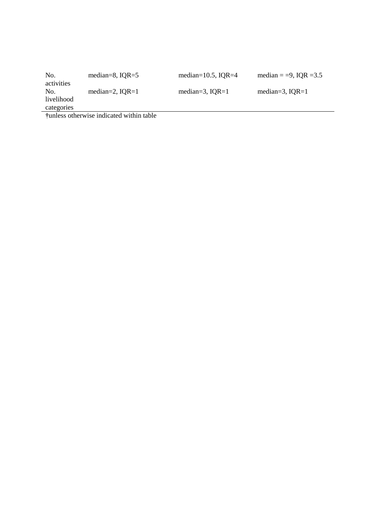| No.        | median=8, $IQR=5$ | median= $10.5$ , IQR=4 | median = $=$ 9, IQR = 3.5 |
|------------|-------------------|------------------------|---------------------------|
| activities |                   |                        |                           |
| No.        | median=2, $IQR=1$ | median=3, $IQR=1$      | median=3, $IQR=1$         |
| livelihood |                   |                        |                           |
| categories |                   |                        |                           |

**†**unless otherwise indicated within table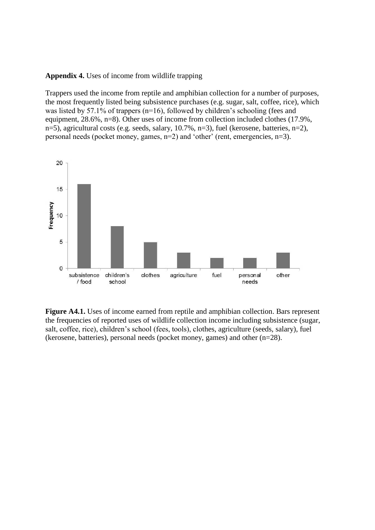**Appendix 4.** Uses of income from wildlife trapping

Trappers used the income from reptile and amphibian collection for a number of purposes, the most frequently listed being subsistence purchases (e.g. sugar, salt, coffee, rice), which was listed by 57.1% of trappers (n=16), followed by children's schooling (fees and equipment, 28.6%, n=8). Other uses of income from collection included clothes (17.9%, n=5), agricultural costs (e.g. seeds, salary, 10.7%, n=3), fuel (kerosene, batteries, n=2), personal needs (pocket money, games, n=2) and 'other' (rent, emergencies, n=3).



**Figure A4.1.** Uses of income earned from reptile and amphibian collection. Bars represent the frequencies of reported uses of wildlife collection income including subsistence (sugar, salt, coffee, rice), children's school (fees, tools), clothes, agriculture (seeds, salary), fuel (kerosene, batteries), personal needs (pocket money, games) and other (n=28).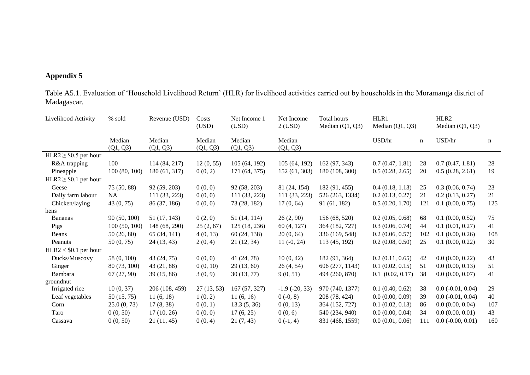## **Appendix 5**

Table A5.1. Evaluation of 'Household Livelihood Return' (HLR) for livelihood activities carried out by households in the Moramanga district of Madagascar.

| Livelihood Activity       | % sold       | Revenue (USD)  | Costs<br>(USD) | Net Income 1<br>(USD) | Net Income<br>$2$ (USD) | Total hours<br>Median $(Q1, Q3)$ | HLR1<br>Median $(Q1, Q3)$ |             | HLR <sub>2</sub><br>Median $(Q1, Q3)$ |             |
|---------------------------|--------------|----------------|----------------|-----------------------|-------------------------|----------------------------------|---------------------------|-------------|---------------------------------------|-------------|
|                           |              |                |                |                       |                         |                                  |                           |             |                                       |             |
|                           | Median       | Median         | Median         | Median                | Median                  |                                  | USD/hr                    | $\mathbf n$ | USD/hr                                | $\mathbf n$ |
|                           | (Q1, Q3)     | (Q1, Q3)       | (Q1, Q3)       | (Q1, Q3)              | (Q1, Q3)                |                                  |                           |             |                                       |             |
| $HLR2 \geq $0.5$ per hour |              |                |                |                       |                         |                                  |                           |             |                                       |             |
| R&A trapping              | 100          | 114 (84, 217)  | 12(0, 55)      | 105 (64, 192)         | 105 (64, 192)           | 162 (97, 343)                    | 0.7(0.47, 1.81)           | 28          | 0.7(0.47, 1.81)                       | 28          |
| Pineapple                 | 100(80, 100) | 180 (61, 317)  | 0(0, 2)        | 171 (64, 375)         | 152(61, 303)            | 180 (108, 300)                   | 0.5(0.28, 2.65)           | 20          | 0.5(0.28, 2.61)                       | 19          |
| $HLR2 \geq $0.1$ per hour |              |                |                |                       |                         |                                  |                           |             |                                       |             |
| Geese                     | 75 (50, 88)  | 92 (59, 203)   | 0(0, 0)        | 92 (58, 203)          | 81 (24, 154)            | 182(91, 455)                     | 0.4(0.18, 1.13)           | 25          | 0.3(0.06, 0.74)                       | 23          |
| Daily farm labour         | <b>NA</b>    | 111 (33, 223)  | 0(0, 0)        | 111 (33, 223)         | 111 (33, 223)           | 526 (263, 1334)                  | 0.2(0.13, 0.27)           | 21          | 0.2(0.13, 0.27)                       | 21          |
| Chicken/laying            | 43(0, 75)    | 86 (37, 186)   | 0(0, 0)        | 73 (28, 182)          | 17(0, 64)               | 91(61, 182)                      | 0.5(0.20, 1.70)           | 121         | 0.1(0.00, 0.75)                       | 125         |
| hens                      |              |                |                |                       |                         |                                  |                           |             |                                       |             |
| <b>Bananas</b>            | 90 (50, 100) | 51 (17, 143)   | 0(2, 0)        | 51 (14, 114)          | 26(2, 90)               | 156 (68, 520)                    | 0.2(0.05, 0.68)           | 68          | 0.1(0.00, 0.52)                       | 75          |
| Pigs                      | 100(50, 100) | 148 (68, 290)  | 25(2, 67)      | 125(18, 236)          | 60 (4, 127)             | 364 (182, 727)                   | 0.3(0.06, 0.74)           | 44          | 0.1(0.01, 0.27)                       | 41          |
| Beans                     | 50(26, 80)   | 65 (34, 141)   | 4(0, 13)       | 60(24, 138)           | 20(0, 64)               | 336 (169, 548)                   | 0.2(0.06, 0.57)           | 102         | 0.1(0.00, 0.26)                       | 108         |
| Peanuts                   | 50(0, 75)    | 24(13, 43)     | 2(0, 4)        | 21(12, 34)            | $11(-0, 24)$            | 113 (45, 192)                    | 0.2(0.08, 0.50)           | 25          | 0.1(0.00, 0.22)                       | 30          |
| $HLR2 < $0.1$ per hour    |              |                |                |                       |                         |                                  |                           |             |                                       |             |
| Ducks/Muscovy             | 58 (0, 100)  | 43 (24, 75)    | 0(0, 0)        | 41 (24, 78)           | 10(0, 42)               | 182 (91, 364)                    | 0.2(0.11, 0.65)           | 42          | 0.0(0.00, 0.22)                       | 43          |
| Ginger                    | 80 (73, 100) | 43 (21, 88)    | 0(0, 10)       | 29(13, 60)            | 26(4, 54)               | 606 (277, 1143)                  | 0.1(0.02, 0.15)           | 51          | 0.0(0.00, 0.13)                       | 51          |
| Bambara                   | 67(27, 90)   | 39(15, 86)     | 3(0, 9)        | 30(13, 77)            | 9(0, 51)                | 494 (260, 870)                   | $0.1$ $(0.02, 0.17)$      | 38          | 0.0(0.00, 0.07)                       | 41          |
| groundnut                 |              |                |                |                       |                         |                                  |                           |             |                                       |             |
| Irrigated rice            | 10(0, 37)    | 206 (108, 459) | 27(13, 53)     | 167(57, 327)          | $-1.9$ $(-20, 33)$      | 970 (740, 1377)                  | 0.1(0.40, 0.62)           | 38          | $0.0$ ( $-0.01$ , $0.04$ )            | 29          |
| Leaf vegetables           | 50(15, 75)   | 11(6, 18)      | 1(0, 2)        | 11(6, 16)             | $0(-0, 8)$              | 208 (78, 424)                    | 0.0(0.00, 0.09)           | 39          | $0.0$ ( $-0.01$ , $0.04$ )            | 40          |
| Corn                      | 25.0(0, 73)  | 17(8, 38)      | 0(0, 1)        | 13.3(5, 36)           | 0(0, 13)                | 364 (152, 727)                   | 0.1(0.02, 0.13)           | 86          | 0.0(0.00, 0.04)                       | 107         |
| Taro                      | 0(0, 50)     | 17(10, 26)     | 0(0, 0)        | 17(6, 25)             | 0(0, 6)                 | 540 (234, 940)                   | 0.0(0.00, 0.04)           | 34          | 0.0(0.00, 0.01)                       | 43          |
| Cassava                   | 0(0, 50)     | 21(11, 45)     | 0(0, 4)        | 21(7, 43)             | $0(-1, 4)$              | 831 (468, 1559)                  | 0.0(0.01, 0.06)           | 111         | $0.0$ ( $-0.00$ , $0.01$ )            | 160         |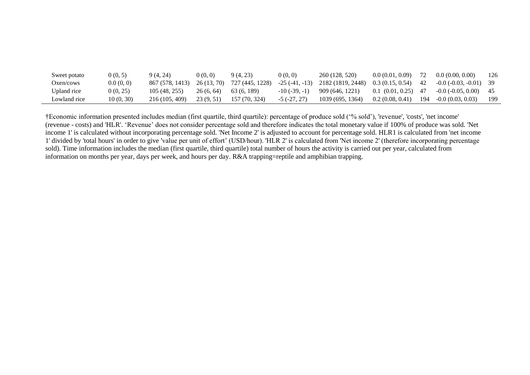| Sweet potato | 0(0, 5)   | 9 (4, 24)       | 0(0, 0)    | 9(4, 23)                    | 0(0, 0)                | 260 (128, 520)                                     | 0.0(0.01, 0.09)         | 72  | 0.0(0.00, 0.00)                 | 126 |
|--------------|-----------|-----------------|------------|-----------------------------|------------------------|----------------------------------------------------|-------------------------|-----|---------------------------------|-----|
| Oxen/cows    | 0.0(0, 0) | 867 (578, 1413) |            | 26 (13, 70) 727 (445, 1228) |                        | $-25$ ( $-41$ , $-13$ ) $2182$ ( $1819$ , $2448$ ) | $0.3(0.15, 0.54)$ 42    |     | $-0.0$ ( $-0.03$ , $-0.01$ ) 39 |     |
| Upland rice  | 0(0, 25)  | 105(48, 255)    | 26 (6, 64) | 63 (6, 189)                 | $-10$ ( $-39$ , $-1$ ) | 909 (646, 1221)                                    | $0.1$ $(0.01, 0.25)$ 47 |     | $-0.0$ ( $-0.05$ , $0.00$ )     |     |
| Lowland rice | 10(0, 30) | 216 (105, 409)  | 23 (9.51)  | 157 (70, 324)               | $-5$ ( $-27, 27$ )     | 1039 (695, 1364)                                   | 0.2(0.08, 0.41)         | 194 | $-0.0(0.03, 0.03)$              | 199 |

†Economic information presented includes median (first quartile, third quartile): percentage of produce sold ('% sold'), 'revenue', 'costs', 'net income' (revenue - costs) and 'HLR'. 'Revenue' does not consider percentage sold and therefore indicates the total monetary value if 100% of produce was sold. 'Net income 1' is calculated without incorporating percentage sold. 'Net Income 2' is adjusted to account for percentage sold. HLR1 is calculated from 'net income 1' divided by 'total hours' in order to give 'value per unit of effort' (USD/hour). 'HLR 2' is calculated from 'Net income 2' (therefore incorporating percentage sold). Time information includes the median (first quartile, third quartile) total number of hours the activity is carried out per year, calculated from information on months per year, days per week, and hours per day. R&A trapping=reptile and amphibian trapping.